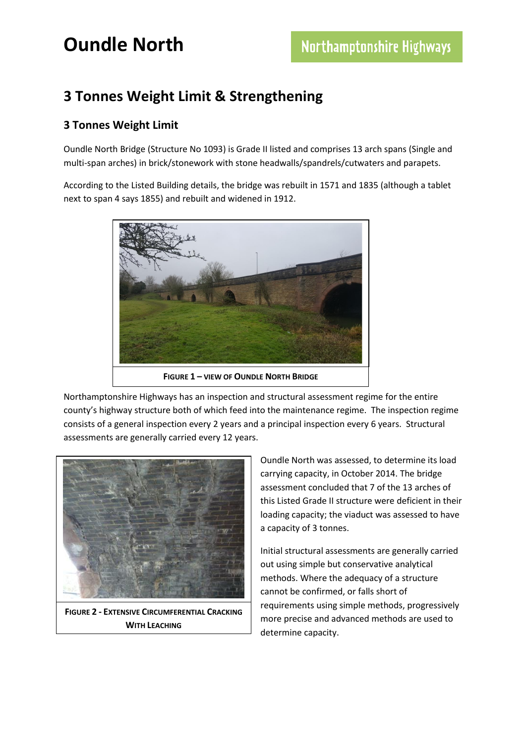### **3 Tonnes Weight Limit & Strengthening**

#### **3 Tonnes Weight Limit**

Oundle North Bridge (Structure No 1093) is Grade II listed and comprises 13 arch spans (Single and multi-span arches) in brick/stonework with stone headwalls/spandrels/cutwaters and parapets.

According to the Listed Building details, the bridge was rebuilt in 1571 and 1835 (although a tablet next to span 4 says 1855) and rebuilt and widened in 1912.



**FIGURE 1 – VIEW OF OUNDLE NORTH BRIDGE**

Northamptonshire Highways has an inspection and structural assessment regime for the entire county's highway structure both of which feed into the maintenance regime. The inspection regime consists of a general inspection every 2 years and a principal inspection every 6 years. Structural assessments are generally carried every 12 years.



**FIGURE 2 - EXTENSIVE CIRCUMFERENTIAL CRACKING WITH LEACHING** 

Oundle North was assessed, to determine its load carrying capacity, in October 2014. The bridge assessment concluded that 7 of the 13 arches of this Listed Grade II structure were deficient in their loading capacity; the viaduct was assessed to have a capacity of 3 tonnes.

Initial structural assessments are generally carried out using simple but conservative analytical methods. Where the adequacy of a structure cannot be confirmed, or falls short of requirements using simple methods, progressively more precise and advanced methods are used to determine capacity.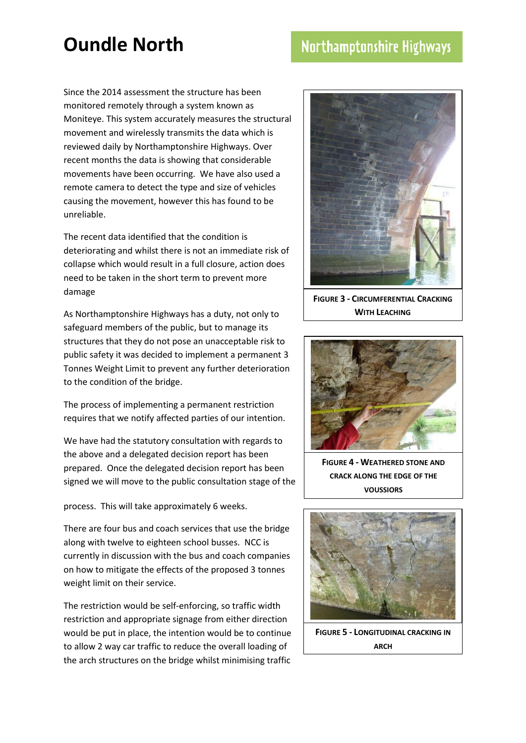### Northamptonshire Highways

Since the 2014 assessment the structure has been monitored remotely through a system known as Moniteye. This system accurately measures the structural movement and wirelessly transmits the data which is reviewed daily by Northamptonshire Highways. Over recent months the data is showing that considerable movements have been occurring. We have also used a remote camera to detect the type and size of vehicles causing the movement, however this has found to be unreliable.

The recent data identified that the condition is deteriorating and whilst there is not an immediate risk of collapse which would result in a full closure, action does need to be taken in the short term to prevent more damage

As Northamptonshire Highways has a duty, not only to safeguard members of the public, but to manage its structures that they do not pose an unacceptable risk to public safety it was decided to implement a permanent 3 Tonnes Weight Limit to prevent any further deterioration to the condition of the bridge.

The process of implementing a permanent restriction requires that we notify affected parties of our intention.

We have had the statutory consultation with regards to the above and a delegated decision report has been prepared. Once the delegated decision report has been signed we will move to the public consultation stage of the

process. This will take approximately 6 weeks.

There are four bus and coach services that use the bridge along with twelve to eighteen school busses. NCC is currently in discussion with the bus and coach companies on how to mitigate the effects of the proposed 3 tonnes weight limit on their service.

The restriction would be self-enforcing, so traffic width restriction and appropriate signage from either direction would be put in place, the intention would be to continue to allow 2 way car traffic to reduce the overall loading of the arch structures on the bridge whilst minimising traffic



**FIGURE 3 - CIRCUMFERENTIAL CRACKING WITH LEACHING** 



**FIGURE 4 - WEATHERED STONE AND CRACK ALONG THE EDGE OF THE VOUSSIORS**



**FIGURE 5 - LONGITUDINAL CRACKING IN ARCH**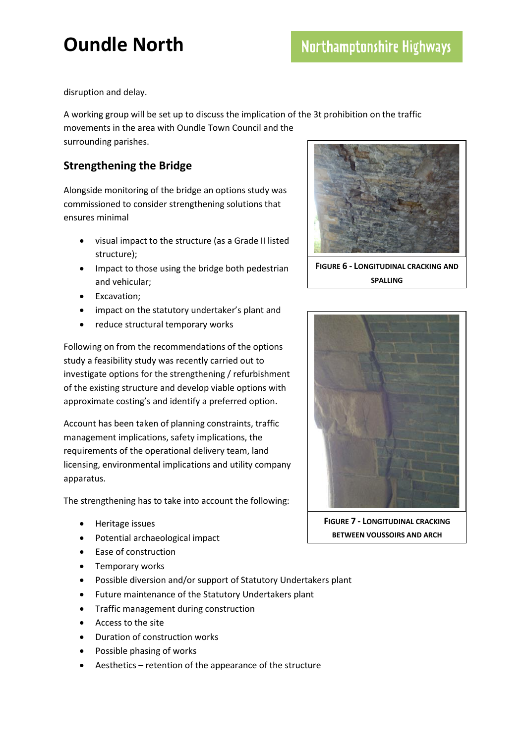disruption and delay.

A working group will be set up to discuss the implication of the 3t prohibition on the traffic movements in the area with Oundle Town Council and the surrounding parishes.

#### **Strengthening the Bridge**

Alongside monitoring of the bridge an options study was commissioned to consider strengthening solutions that ensures minimal

- visual impact to the structure (as a Grade II listed structure);
- Impact to those using the bridge both pedestrian and vehicular;
- **•** Excavation;
- impact on the statutory undertaker's plant and
- reduce structural temporary works

Following on from the recommendations of the options study a feasibility study was recently carried out to investigate options for the strengthening / refurbishment of the existing structure and develop viable options with approximate costing's and identify a preferred option.

Account has been taken of planning constraints, traffic management implications, safety implications, the requirements of the operational delivery team, land licensing, environmental implications and utility company apparatus.

The strengthening has to take into account the following:

- Heritage issues
- Potential archaeological impact
- Ease of construction
- Temporary works
- Possible diversion and/or support of Statutory Undertakers plant
- Future maintenance of the Statutory Undertakers plant
- **•** Traffic management during construction
- Access to the site
- Duration of construction works
- Possible phasing of works
- Aesthetics retention of the appearance of the structure



**FIGURE 6 - LONGITUDINAL CRACKING AND SPALLING**



**FIGURE 7 - LONGITUDINAL CRACKING BETWEEN VOUSSOIRS AND ARCH**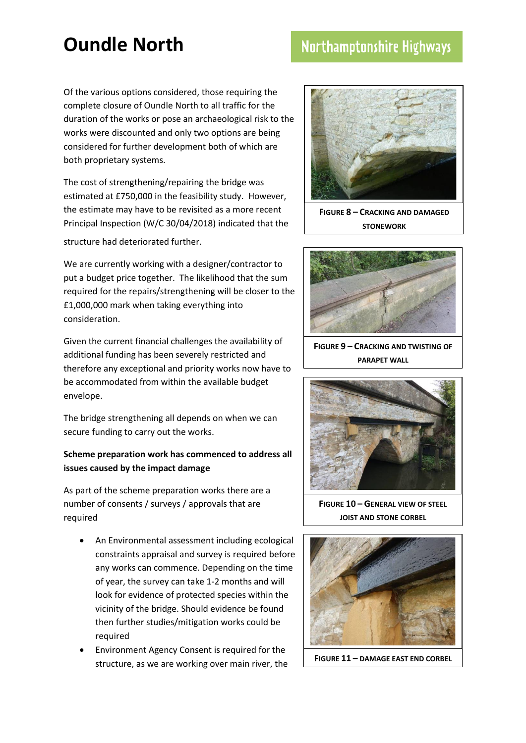### Northamptonshire Highways

Of the various options considered, those requiring the complete closure of Oundle North to all traffic for the duration of the works or pose an archaeological risk to the works were discounted and only two options are being considered for further development both of which are both proprietary systems.

The cost of strengthening/repairing the bridge was estimated at £750,000 in the feasibility study. However, the estimate may have to be revisited as a more recent Principal Inspection (W/C 30/04/2018) indicated that the

structure had deteriorated further.

We are currently working with a designer/contractor to put a budget price together. The likelihood that the sum required for the repairs/strengthening will be closer to the £1,000,000 mark when taking everything into consideration.

Given the current financial challenges the availability of additional funding has been severely restricted and therefore any exceptional and priority works now have to be accommodated from within the available budget envelope.

The bridge strengthening all depends on when we can secure funding to carry out the works.

#### **Scheme preparation work has commenced to address all issues caused by the impact damage**

As part of the scheme preparation works there are a number of consents / surveys / approvals that are required

- An Environmental assessment including ecological constraints appraisal and survey is required before any works can commence. Depending on the time of year, the survey can take 1-2 months and will look for evidence of protected species within the vicinity of the bridge. Should evidence be found then further studies/mitigation works could be required
- Environment Agency Consent is required for the structure, as we are working over main river, the



**FIGURE 8 – CRACKING AND DAMAGED STONEWORK**



**FIGURE 9 – CRACKING AND TWISTING OF PARAPET WALL**



**FIGURE 10 – GENERAL VIEW OF STEEL JOIST AND STONE CORBEL**



**FIGURE 11 – DAMAGE EAST END CORBEL**